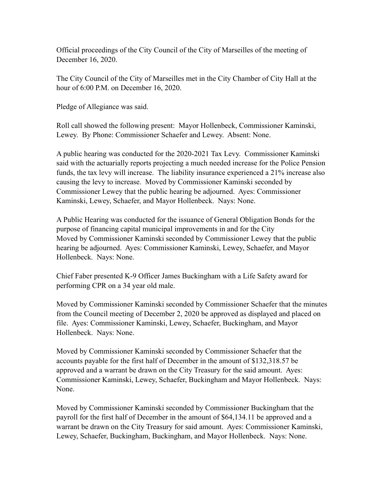Official proceedings of the City Council of the City of Marseilles of the meeting of December 16, 2020.

The City Council of the City of Marseilles met in the City Chamber of City Hall at the hour of 6:00 P.M. on December 16, 2020.

Pledge of Allegiance was said.

Roll call showed the following present: Mayor Hollenbeck, Commissioner Kaminski, Lewey. By Phone: Commissioner Schaefer and Lewey. Absent: None.

A public hearing was conducted for the 2020-2021 Tax Levy. Commissioner Kaminski said with the actuarially reports projecting a much needed increase for the Police Pension funds, the tax levy will increase. The liability insurance experienced a 21% increase also causing the levy to increase. Moved by Commissioner Kaminski seconded by Commissioner Lewey that the public hearing be adjourned. Ayes: Commissioner Kaminski, Lewey, Schaefer, and Mayor Hollenbeck. Nays: None.

A Public Hearing was conducted for the issuance of General Obligation Bonds for the purpose of financing capital municipal improvements in and for the City Moved by Commissioner Kaminski seconded by Commissioner Lewey that the public hearing be adjourned. Ayes: Commissioner Kaminski, Lewey, Schaefer, and Mayor Hollenbeck. Nays: None.

Chief Faber presented K-9 Officer James Buckingham with a Life Safety award for performing CPR on a 34 year old male.

Moved by Commissioner Kaminski seconded by Commissioner Schaefer that the minutes from the Council meeting of December 2, 2020 be approved as displayed and placed on file. Ayes: Commissioner Kaminski, Lewey, Schaefer, Buckingham, and Mayor Hollenbeck. Nays: None.

Moved by Commissioner Kaminski seconded by Commissioner Schaefer that the accounts payable for the first half of December in the amount of \$132,318.57 be approved and a warrant be drawn on the City Treasury for the said amount. Ayes: Commissioner Kaminski, Lewey, Schaefer, Buckingham and Mayor Hollenbeck. Nays: None.

Moved by Commissioner Kaminski seconded by Commissioner Buckingham that the payroll for the first half of December in the amount of \$64,134.11 be approved and a warrant be drawn on the City Treasury for said amount. Ayes: Commissioner Kaminski, Lewey, Schaefer, Buckingham, Buckingham, and Mayor Hollenbeck. Nays: None.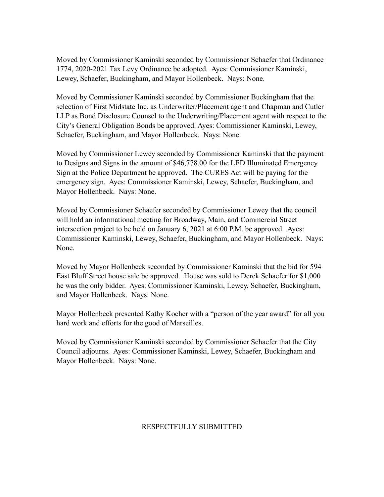Moved by Commissioner Kaminski seconded by Commissioner Schaefer that Ordinance 1774, 2020-2021 Tax Levy Ordinance be adopted. Ayes: Commissioner Kaminski, Lewey, Schaefer, Buckingham, and Mayor Hollenbeck. Nays: None.

Moved by Commissioner Kaminski seconded by Commissioner Buckingham that the selection of First Midstate Inc. as Underwriter/Placement agent and Chapman and Cutler LLP as Bond Disclosure Counsel to the Underwriting/Placement agent with respect to the City's General Obligation Bonds be approved. Ayes: Commissioner Kaminski, Lewey, Schaefer, Buckingham, and Mayor Hollenbeck. Nays: None.

Moved by Commissioner Lewey seconded by Commissioner Kaminski that the payment to Designs and Signs in the amount of \$46,778.00 for the LED Illuminated Emergency Sign at the Police Department be approved. The CURES Act will be paying for the emergency sign. Ayes: Commissioner Kaminski, Lewey, Schaefer, Buckingham, and Mayor Hollenbeck. Nays: None.

Moved by Commissioner Schaefer seconded by Commissioner Lewey that the council will hold an informational meeting for Broadway, Main, and Commercial Street intersection project to be held on January 6, 2021 at 6:00 P.M. be approved. Ayes: Commissioner Kaminski, Lewey, Schaefer, Buckingham, and Mayor Hollenbeck. Nays: None.

Moved by Mayor Hollenbeck seconded by Commissioner Kaminski that the bid for 594 East Bluff Street house sale be approved. House was sold to Derek Schaefer for \$1,000 he was the only bidder. Ayes: Commissioner Kaminski, Lewey, Schaefer, Buckingham, and Mayor Hollenbeck. Nays: None.

Mayor Hollenbeck presented Kathy Kocher with a "person of the year award" for all you hard work and efforts for the good of Marseilles.

Moved by Commissioner Kaminski seconded by Commissioner Schaefer that the City Council adjourns. Ayes: Commissioner Kaminski, Lewey, Schaefer, Buckingham and Mayor Hollenbeck. Nays: None.

## RESPECTFULLY SUBMITTED